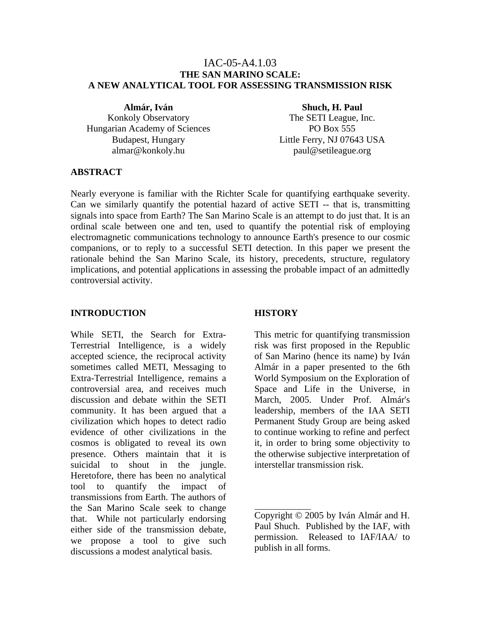## IAC-05-A4.1.03 **THE SAN MARINO SCALE: A NEW ANALYTICAL TOOL FOR ASSESSING TRANSMISSION RISK**

**Almár, Iván** Konkoly Observatory Hungarian Academy of Sciences Budapest, Hungary almar@konkoly.hu

# **Shuch, H. Paul**

The SETI League, Inc. PO Box 555 Little Ferry, NJ 07643 USA paul@setileague.org

#### **ABSTRACT**

Nearly everyone is familiar with the Richter Scale for quantifying earthquake severity. Can we similarly quantify the potential hazard of active SETI -- that is, transmitting signals into space from Earth? The San Marino Scale is an attempt to do just that. It is an ordinal scale between one and ten, used to quantify the potential risk of employing electromagnetic communications technology to announce Earth's presence to our cosmic companions, or to reply to a successful SETI detection. In this paper we present the rationale behind the San Marino Scale, its history, precedents, structure, regulatory implications, and potential applications in assessing the probable impact of an admittedly controversial activity.

#### **INTRODUCTION**

# **HISTORY**

While SETI, the Search for Extra-Terrestrial Intelligence, is a widely accepted science, the reciprocal activity sometimes called METI, Messaging to Extra-Terrestrial Intelligence, remains a controversial area, and receives much discussion and debate within the SETI community. It has been argued that a civilization which hopes to detect radio evidence of other civilizations in the cosmos is obligated to reveal its own presence. Others maintain that it is suicidal to shout in the jungle. Heretofore, there has been no analytical tool to quantify the impact of transmissions from Earth. The authors of the San Marino Scale seek to change that. While not particularly endorsing either side of the transmission debate, we propose a tool to give such discussions a modest analytical basis.

This metric for quantifying transmission risk was first proposed in the Republic of San Marino (hence its name) by Iván Almár in a paper presented to the 6th World Symposium on the Exploration of Space and Life in the Universe, in March, 2005. Under Prof. Almár's leadership, members of the IAA SETI Permanent Study Group are being asked to continue working to refine and perfect it, in order to bring some objectivity to the otherwise subjective interpretation of interstellar transmission risk.

Copyright © 2005 by Iván Almár and H. Paul Shuch. Published by the IAF, with permission. Released to IAF/IAA/ to publish in all forms.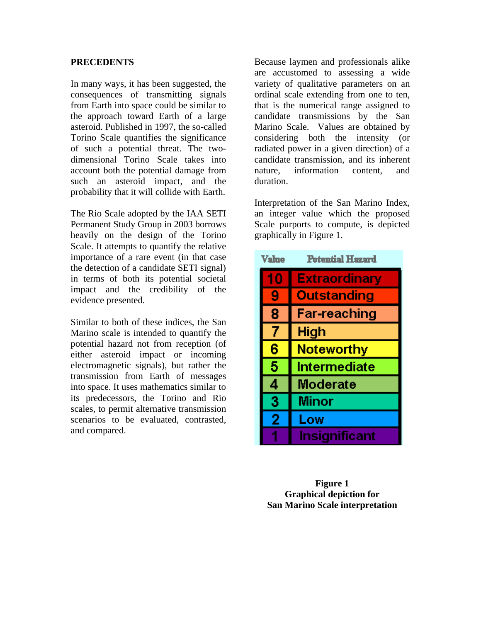#### **PRECEDENTS**

In many ways, it has been suggested, the consequences of transmitting signals from Earth into space could be similar to the approach toward Earth of a large asteroid. Published in 1997, the so-called Torino Scale quantifies the significance of such a potential threat. The twodimensional Torino Scale takes into account both the potential damage from such an asteroid impact, and the probability that it will collide with Earth.

The Rio Scale adopted by the IAA SETI Permanent Study Group in 2003 borrows heavily on the design of the Torino Scale. It attempts to quantify the relative importance of a rare event (in that case the detection of a candidate SETI signal) in terms of both its potential societal impact and the credibility of the evidence presented.

Similar to both of these indices, the San Marino scale is intended to quantify the potential hazard not from reception (of either asteroid impact or incoming electromagnetic signals), but rather the transmission from Earth of messages into space. It uses mathematics similar to its predecessors, the Torino and Rio scales, to permit alternative transmission scenarios to be evaluated, contrasted, and compared.

Because laymen and professionals alike are accustomed to assessing a wide variety of qualitative parameters on an ordinal scale extending from one to ten, that is the numerical range assigned to candidate transmissions by the San Marino Scale. Values are obtained by considering both the intensity (or radiated power in a given direction) of a candidate transmission, and its inherent nature, information content, and duration.

Interpretation of the San Marino Index, an integer value which the proposed Scale purports to compute, is depicted graphically in Figure 1.

| Value | <b>Potential Hazard</b> |
|-------|-------------------------|
| 10    | <b>Extraordinary</b>    |
| 9     | <b>Outstanding</b>      |
| 8     | <b>Far-reaching</b>     |
| 7     | High                    |
| 6     | Noteworthy              |
| 5     | Intermediate            |
| 4     | <b>Moderate</b>         |
| 3     | <b>Minor</b>            |
| 2     | Low                     |
|       | Insignificant           |

**Figure 1 Graphical depiction for San Marino Scale interpretation**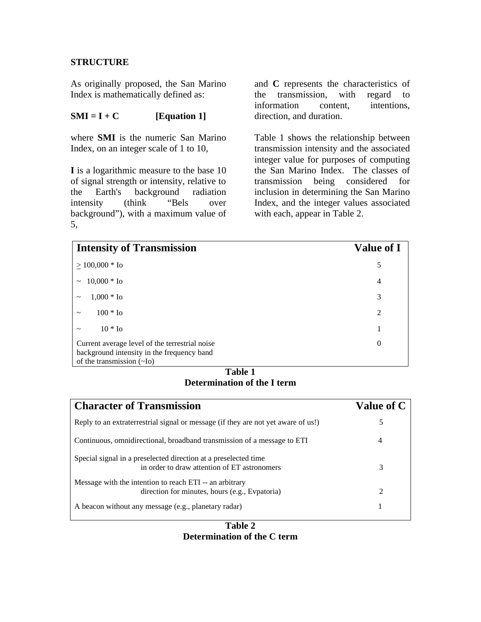## **STRUCTURE**

As originally proposed, the San Marino Index is mathematically defined as:

## $SMI = I + C$  [Equation 1]

where **SMI** is the numeric San Marino Index, on an integer scale of 1 to 10,

**I** is a logarithmic measure to the base 10 of signal strength or intensity, relative to the Earth's background radiation intensity (think "Bels over background"), with a maximum value of 5,

and **C** represents the characteristics of the transmission, with regard to information content, intentions, direction, and duration.

Table 1 shows the relationship between transmission intensity and the associated integer value for purposes of computing the San Marino Index. The classes of transmission being considered for inclusion in determining the San Marino Index, and the integer values associated with each, appear in Table 2.

| <b>Intensity of Transmission</b>                                                                                                 | <b>Value of I</b> |
|----------------------------------------------------------------------------------------------------------------------------------|-------------------|
| $> 100,000 *$ Io                                                                                                                 | 5                 |
| $10,000 *$ Io<br>$\thicksim$                                                                                                     | 4                 |
| $1,000 *$ Io<br>$\tilde{\phantom{a}}$                                                                                            | 3                 |
| $100 *$ Io                                                                                                                       | 2                 |
| $10 *$ Io<br>$\tilde{\phantom{a}}$                                                                                               |                   |
| Current average level of the terrestrial noise<br>background intensity in the frequency band<br>of the transmission $(\sim I_0)$ | 0                 |

**Table 1 Determination of the I term**

| <b>Character of Transmission</b>                                                                                | Value of C                  |
|-----------------------------------------------------------------------------------------------------------------|-----------------------------|
| Reply to an extraterrestrial signal or message (if they are not yet aware of us!)                               | 5                           |
| Continuous, omnidirectional, broadband transmission of a message to ETI                                         | 4                           |
| Special signal in a preselected direction at a preselected time<br>in order to draw attention of ET astronomers | 3                           |
| Message with the intention to reach ETI -- an arbitrary<br>direction for minutes, hours (e.g., Evpatoria)       | $\mathcal{D}_{\mathcal{L}}$ |
| A beacon without any message (e.g., planetary radar)                                                            |                             |

**Table 2 Determination of the C term**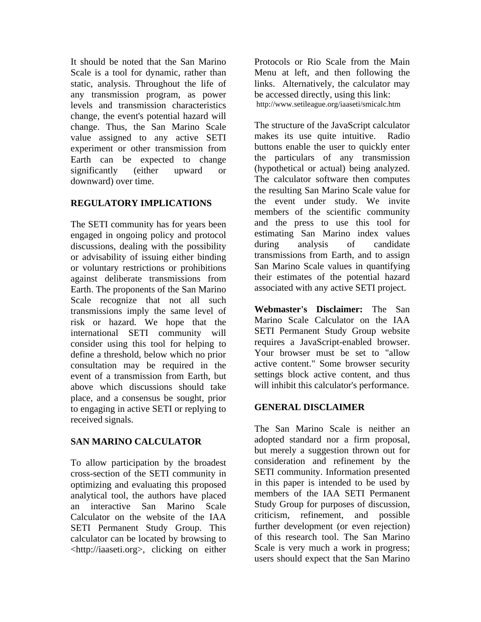It should be noted that the San Marino Scale is a tool for dynamic, rather than static, analysis. Throughout the life of any transmission program, as power levels and transmission characteristics change, the event's potential hazard will change. Thus, the San Marino Scale value assigned to any active SETI experiment or other transmission from Earth can be expected to change significantly (either upward or downward) over time.

# **REGULATORY IMPLICATIONS**

The SETI community has for years been engaged in ongoing policy and protocol discussions, dealing with the possibility or advisability of issuing either binding or voluntary restrictions or prohibitions against deliberate transmissions from Earth. The proponents of the San Marino Scale recognize that not all such transmissions imply the same level of risk or hazard. We hope that the international SETI community will consider using this tool for helping to define a threshold, below which no prior consultation may be required in the event of a transmission from Earth, but above which discussions should take place, and a consensus be sought, prior to engaging in active SETI or replying to received signals.

## **SAN MARINO CALCULATOR**

To allow participation by the broadest cross-section of the SETI community in optimizing and evaluating this proposed analytical tool, the authors have placed an interactive San Marino Scale Calculator on the website of the IAA SETI Permanent Study Group. This calculator can be located by browsing to <http://iaaseti.org>, clicking on either

Protocols or Rio Scale from the Main Menu at left, and then following the links. Alternatively, the calculator may be accessed directly, using this link: http://www.setileague.org/iaaseti/smicalc.htm

The structure of the JavaScript calculator makes its use quite intuitive. Radio buttons enable the user to quickly enter the particulars of any transmission (hypothetical or actual) being analyzed. The calculator software then computes the resulting San Marino Scale value for the event under study. We invite members of the scientific community and the press to use this tool for estimating San Marino index values during analysis of candidate transmissions from Earth, and to assign San Marino Scale values in quantifying their estimates of the potential hazard associated with any active SETI project.

**Webmaster's Disclaimer:** The San Marino Scale Calculator on the IAA SETI Permanent Study Group website requires a JavaScript-enabled browser. Your browser must be set to "allow active content." Some browser security settings block active content, and thus will inhibit this calculator's performance.

## **GENERAL DISCLAIMER**

The San Marino Scale is neither an adopted standard nor a firm proposal, but merely a suggestion thrown out for consideration and refinement by the SETI community. Information presented in this paper is intended to be used by members of the IAA SETI Permanent Study Group for purposes of discussion, criticism, refinement, and possible further development (or even rejection) of this research tool. The San Marino Scale is very much a work in progress; users should expect that the San Marino